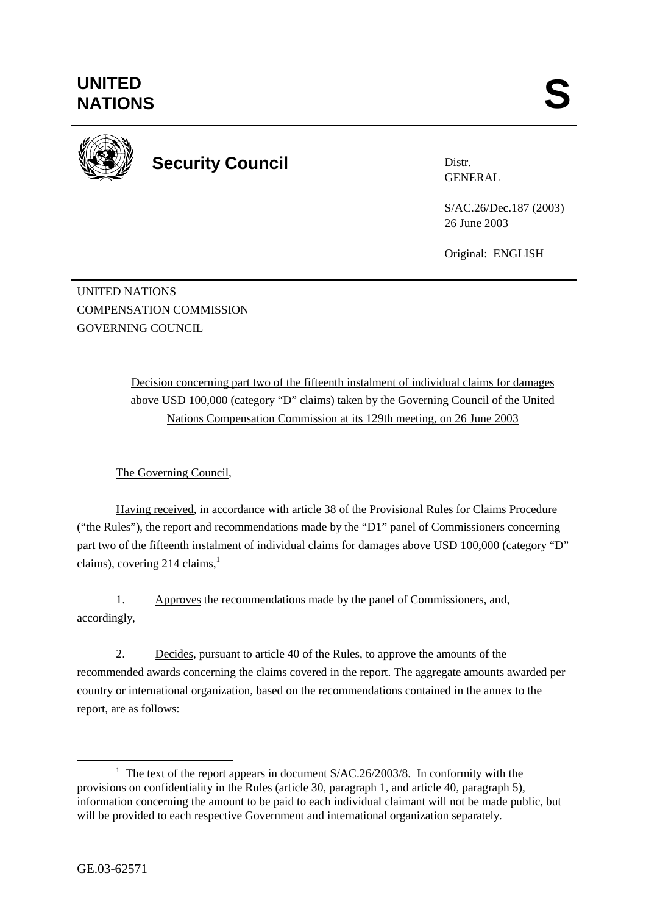

**Security Council** 

Distr. GENERAL

S/AC.26/Dec.187 (2003) 26 June 2003

Original: ENGLISH

UNITED NATIONS COMPENSATION COMMISSION GOVERNING COUNCIL

> Decision concerning part two of the fifteenth instalment of individual claims for damages above USD 100,000 (category "D" claims) taken by the Governing Council of the United Nations Compensation Commission at its 129th meeting, on 26 June 2003

The Governing Council,

Having received, in accordance with article 38 of the Provisional Rules for Claims Procedure ("the Rules"), the report and recommendations made by the "D1" panel of Commissioners concerning part two of the fifteenth instalment of individual claims for damages above USD 100,000 (category "D" claims), covering 214 claims, $<sup>1</sup>$ </sup>

1. Approves the recommendations made by the panel of Commissioners, and, accordingly,

2. Decides, pursuant to article 40 of the Rules, to approve the amounts of the recommended awards concerning the claims covered in the report. The aggregate amounts awarded per country or international organization, based on the recommendations contained in the annex to the report, are as follows:

<sup>&</sup>lt;u>1</u> <sup>1</sup> The text of the report appears in document  $S/AC.26/2003/8$ . In conformity with the provisions on confidentiality in the Rules (article 30, paragraph 1, and article 40, paragraph 5), information concerning the amount to be paid to each individual claimant will not be made public, but will be provided to each respective Government and international organization separately.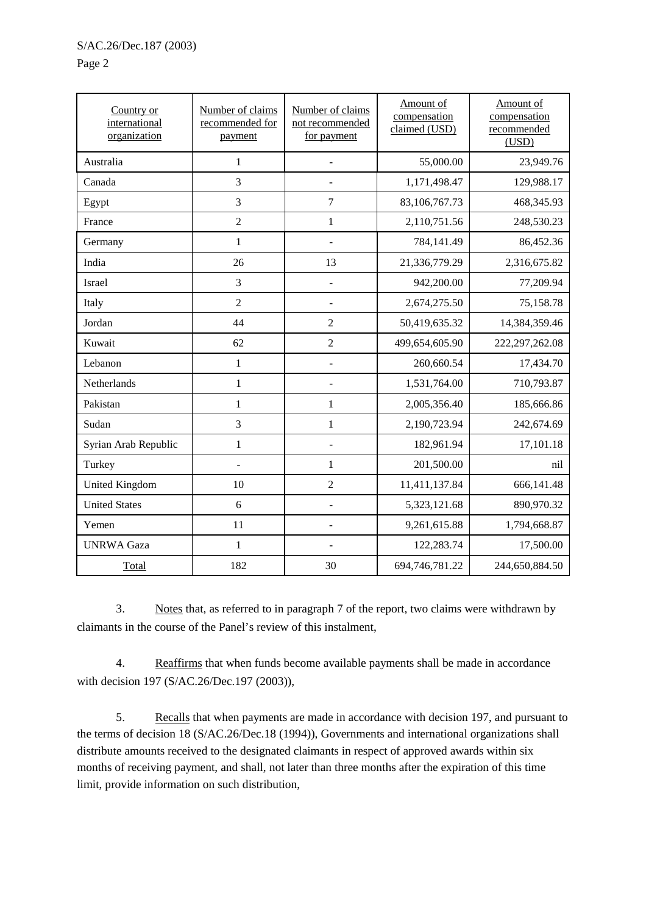## Page 2

| Country or<br>international<br>organization | Number of claims<br>recommended for<br>payment | Number of claims<br>not recommended<br>for payment | Amount of<br>compensation<br>claimed (USD) | Amount of<br>compensation<br>recommended<br>(USD) |
|---------------------------------------------|------------------------------------------------|----------------------------------------------------|--------------------------------------------|---------------------------------------------------|
| Australia                                   | $\mathbf{1}$                                   | ÷,                                                 | 55,000.00                                  | 23,949.76                                         |
| Canada                                      | 3                                              |                                                    | 1,171,498.47                               | 129,988.17                                        |
| Egypt                                       | 3                                              | $\overline{7}$                                     | 83,106,767.73                              | 468,345.93                                        |
| France                                      | $\overline{2}$                                 | $\mathbf{1}$                                       | 2,110,751.56                               | 248,530.23                                        |
| Germany                                     | $\mathbf{1}$                                   | $\overline{a}$                                     | 784,141.49                                 | 86,452.36                                         |
| India                                       | 26                                             | 13                                                 | 21,336,779.29                              | 2,316,675.82                                      |
| Israel                                      | 3                                              | $\overline{a}$                                     | 942,200.00                                 | 77,209.94                                         |
| Italy                                       | $\overline{2}$                                 | $\overline{\phantom{a}}$                           | 2,674,275.50                               | 75,158.78                                         |
| Jordan                                      | 44                                             | $\overline{2}$                                     | 50,419,635.32                              | 14,384,359.46                                     |
| Kuwait                                      | 62                                             | $\overline{2}$                                     | 499,654,605.90                             | 222, 297, 262.08                                  |
| Lebanon                                     | $\mathbf{1}$                                   |                                                    | 260,660.54                                 | 17,434.70                                         |
| Netherlands                                 | $\mathbf{1}$                                   |                                                    | 1,531,764.00                               | 710,793.87                                        |
| Pakistan                                    | $\mathbf{1}$                                   | 1                                                  | 2,005,356.40                               | 185,666.86                                        |
| Sudan                                       | 3                                              | $\mathbf{1}$                                       | 2,190,723.94                               | 242,674.69                                        |
| Syrian Arab Republic                        | $\mathbf{1}$                                   | $\overline{a}$                                     | 182,961.94                                 | 17,101.18                                         |
| Turkey                                      | $\overline{a}$                                 | $\mathbf{1}$                                       | 201,500.00                                 | nil                                               |
| <b>United Kingdom</b>                       | 10                                             | $\overline{2}$                                     | 11,411,137.84                              | 666,141.48                                        |
| <b>United States</b>                        | 6                                              |                                                    | 5,323,121.68                               | 890,970.32                                        |
| Yemen                                       | 11                                             |                                                    | 9,261,615.88                               | 1,794,668.87                                      |
| <b>UNRWA Gaza</b>                           | $\mathbf{1}$                                   |                                                    | 122,283.74                                 | 17,500.00                                         |
| Total                                       | 182                                            | 30                                                 | 694,746,781.22                             | 244,650,884.50                                    |

3. Notes that, as referred to in paragraph 7 of the report, two claims were withdrawn by claimants in the course of the Panel's review of this instalment,

4. Reaffirms that when funds become available payments shall be made in accordance with decision 197 (S/AC.26/Dec.197 (2003)),

5. Recalls that when payments are made in accordance with decision 197, and pursuant to the terms of decision 18 (S/AC.26/Dec.18 (1994)), Governments and international organizations shall distribute amounts received to the designated claimants in respect of approved awards within six months of receiving payment, and shall, not later than three months after the expiration of this time limit, provide information on such distribution,